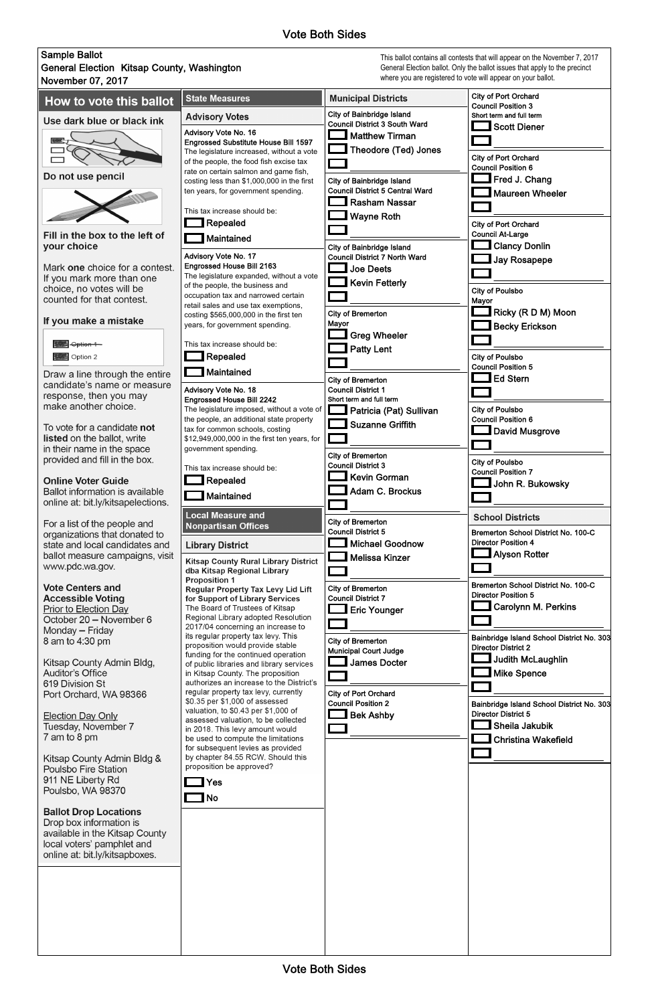**Nota** Yes No

## Sample Ballot General Election Kitsap County, Washington November 07, 2017 City of Port Orchard **State Measures Municipal Districts** How to vote this ballot Council Position 3 City of Bainbridge Island **Advisory Votes** Short term and full term Use dark blue or black ink Council District 3 South Ward **3** Scott Diener Advisory Vote No. 16 Matthew Tirman Engrossed Substitute House Bill 1597 Theodore (Ted) Jones The legislature increased, without a vote City of Port Orchard of the people, the food fish excise tax Council Position 6 rate on certain salmon and game fish, Do not use pencil Fred J. Chang City of Bainbridge Island costing less than \$1,000,000 in the first Council District 5 Central Ward ten years, for government spending. Maureen Wheeler Rasham Nassar This tax increase should be: Wayne Roth **Repealed** City of Port Orchard Fill in the box to the left of Council At-Large **Naintained** Clancy Donlin vour choice City of Bainbridge Island Advisory Vote No. 17 Council District 7 North Ward Jay Rosapepe Engrossed House Bill 2163 Mark one choice for a contest. **Lette** Joe Deets The legislature expanded, without a vote If you mark more than one Kevin Fetterly of the people, the business and choice, no votes will be City of Poulsbo occupation tax and narrowed certain counted for that contest. Mayor retail sales and use tax exemptions, Ricky (R D M) Moon City of Bremerton costing \$565,000,000 in the first ten If you make a mistake Mayor years, for government spending. Becky Erickson Greg Wheeler **整** Option 1 This tax increase should be: **Patty Lent** Option 2 **Nepealed** City of Poulsbo Council Position 5 **Naintained** Draw a line through the entire Ed Stern City of Bremerton candidate's name or measure Council District 1 Advisory Vote No. 18 response, then you may Short term and full term Engrossed House Bill 2242 make another choice. The legislature imposed, without a vote of City of Poulsbo Patricia (Pat) Sullivan Council Position 6 the people, an additional state property Suzanne Griffith To vote for a candidate not tax for common schools, costing **David Musgrove** listed on the ballot, write \$12,949,000,000 in the first ten years, for in their name in the space government spending. City of Bremerton provided and fill in the box. City of Poulsbo Council District 3 This tax increase should be: Council Position 7 Kevin Gorman **Online Voter Guide Repealed**  $\Box$  John R. Bukowsky Adam C. Brockus Ballot information is available **THEO** Maintained online at: bit.ly/kitsapelections. **Local Measure and School Districts** City of Bremerton For a list of the people and **Nonpartisan Offices** Council District 5 Bremerton School District No. 100-C organizations that donated to Director Position 4 Michael Goodnow state and local candidates and **Library District** Alyson Rotter ballot measure campaigns, visit Melissa Kinzer **Kitsap County Rural Library District** www.pdc.wa.gov. dba Kitsap Regional Library **Proposition 1** Bremerton School District No. 100-C **Vote Centers and** City of Bremerton **Regular Property Tax Levy Lid Lift** Director Position 5 for Support of Library Services **Accessible Voting** Council District 7 Carolynn M. Perkins **Prior to Election Day** The Board of Trustees of Kitsap Eric Younger Regional Library adopted Resolution October 20 - November 6 **The Company** 2017/04 concerning an increase to Monday - Friday its regular property tax levy. This Bainbridge Island School District No. 303 8 am to 4:30 pm City of Bremerton proposition would provide stable Director District 2 Municipal Court Judge funding for the continued operation Judith McLaughlin Kitsap County Admin Bldg, **Letter** James Docter of public libraries and library services **Auditor's Office** in Kitsap County. The proposition Mike Spence authorizes an increase to the District's 619 Division St regular property tax levy, currently City of Port Orchard Port Orchard, WA 98366 \$0.35 per \$1,000 of assessed Council Position 2 Bainbridge Island School District No. 303

**Election Day Only** Tuesday, November 7 7 am to 8 pm

Bek Ashby

Director District 5

Sheila Jakubik

Christina Wakefield

Vote Both Sides

This ballot contains all contests that will appear on the November 7, 2017 General Election ballot. Only the ballot issues that apply to the precinct where you are registered to vote will appear on your ballot.



Kitsap County Admin Bldg & Poulsbo Fire Station 911 NE Liberty Rd Poulsbo, WA 98370

**Ballot Drop Locations** Drop box information is available in the Kitsap County local voters' pamphlet and online at: bit.ly/kitsapboxes.

be used to compute the limitations for subsequent levies as provided by chapter 84.55 RCW. Should this proposition be approved?

valuation, to \$0.43 per \$1,000 of

in 2018. This levy amount would

assessed valuation, to be collected